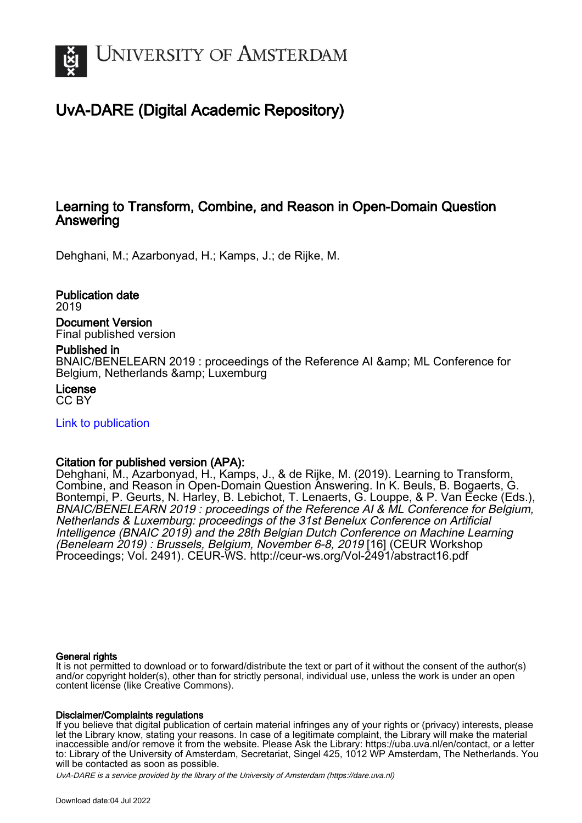

# UvA-DARE (Digital Academic Repository)

## Learning to Transform, Combine, and Reason in Open-Domain Question **Answering**

Dehghani, M.; Azarbonyad, H.; Kamps, J.; de Rijke, M.

Publication date 2019 Document Version Final published version

### Published in

BNAIC/BENELEARN 2019 : proceedings of the Reference AI & amp; ML Conference for Belgium, Netherlands & amp; Luxemburg

License CC BY

[Link to publication](https://dare.uva.nl/personal/pure/en/publications/learning-to-transform-combine-and-reason-in-opendomain-question-answering(8d0420c0-f129-4dc7-b5bc-9f5fe96f5479).html)

### Citation for published version (APA):

Dehghani, M., Azarbonyad, H., Kamps, J., & de Rijke, M. (2019). Learning to Transform, Combine, and Reason in Open-Domain Question Answering. In K. Beuls, B. Bogaerts, G. Bontempi, P. Geurts, N. Harley, B. Lebichot, T. Lenaerts, G. Louppe, & P. Van Eecke (Eds.), BNAIC/BENELEARN 2019 : proceedings of the Reference AI & ML Conference for Belgium, Netherlands & Luxemburg: proceedings of the 31st Benelux Conference on Artificial Intelligence (BNAIC 2019) and the 28th Belgian Dutch Conference on Machine Learning (Benelearn 2019) : Brussels, Belgium, November 6-8, 2019 [16] (CEUR Workshop Proceedings; Vol. 2491). CEUR-WS. <http://ceur-ws.org/Vol-2491/abstract16.pdf>

#### General rights

It is not permitted to download or to forward/distribute the text or part of it without the consent of the author(s) and/or copyright holder(s), other than for strictly personal, individual use, unless the work is under an open content license (like Creative Commons).

#### Disclaimer/Complaints regulations

If you believe that digital publication of certain material infringes any of your rights or (privacy) interests, please let the Library know, stating your reasons. In case of a legitimate complaint, the Library will make the material inaccessible and/or remove it from the website. Please Ask the Library: https://uba.uva.nl/en/contact, or a letter to: Library of the University of Amsterdam, Secretariat, Singel 425, 1012 WP Amsterdam, The Netherlands. You will be contacted as soon as possible.

UvA-DARE is a service provided by the library of the University of Amsterdam (http*s*://dare.uva.nl)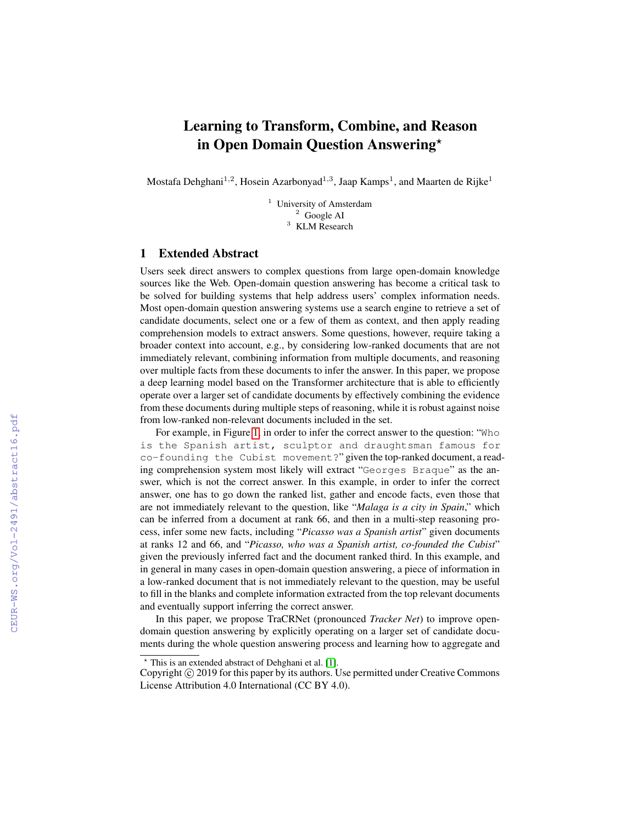# Learning to Transform, Combine, and Reason in Open Domain Question Answering?

Mostafa Dehghani $^{1,2}$ , Hosein Azarbonyad $^{1,3}$ , Jaap Kamps $^1$ , and Maarten de Rijke $^1$ 

<sup>1</sup> University of Amsterdam <sup>2</sup> Google AI <sup>3</sup> KLM Research

#### 1 Extended Abstract

Users seek direct answers to complex questions from large open-domain knowledge sources like the Web. Open-domain question answering has become a critical task to be solved for building systems that help address users' complex information needs. Most open-domain question answering systems use a search engine to retrieve a set of candidate documents, select one or a few of them as context, and then apply reading comprehension models to extract answers. Some questions, however, require taking a broader context into account, e.g., by considering low-ranked documents that are not immediately relevant, combining information from multiple documents, and reasoning over multiple facts from these documents to infer the answer. In this paper, we propose a deep learning model based on the Transformer architecture that is able to efficiently operate over a larger set of candidate documents by effectively combining the evidence from these documents during multiple steps of reasoning, while it is robust against noise from low-ranked non-relevant documents included in the set.

For example, in Figure 1, in order to infer the correct answer to the question: "Who is the Spanish artist, sculptor and draughtsman famous for co-founding the Cubist movement?" given the top-ranked document, a reading comprehension system most likely will extract "Georges Braque" as the answer, which is not the correct answer. In this example, in order to infer the correct answer, one has to go down the ranked list, gather and encode facts, even those that are not immediately relevant to the question, like "*Malaga is a city in Spain*," which can be inferred from a document at rank 66, and then in a multi-step reasoning process, infer some new facts, including "*Picasso was a Spanish artist*" given documents at ranks 12 and 66, and "*Picasso, who was a Spanish artist, co-founded the Cubist*" given the previously inferred fact and the document ranked third. In this example, and in general in many cases in open-domain question answering, a piece of information in a low-ranked document that is not immediately relevant to the question, may be useful to fill in the blanks and complete information extracted from the top relevant documents and eventually support inferring the correct answer.

In this paper, we propose TraCRNet (pronounced *Tracker Net*) to improve opendomain question answering by explicitly operating on a larger set of candidate documents during the whole question answering process and learning how to aggregate and

<sup>?</sup> This is an extended abstract of Dehghani et al. [1].

Copyright © 2019 for this paper by its authors. Use permitted under Creative Commons License Attribution 4.0 International (CC BY 4.0).